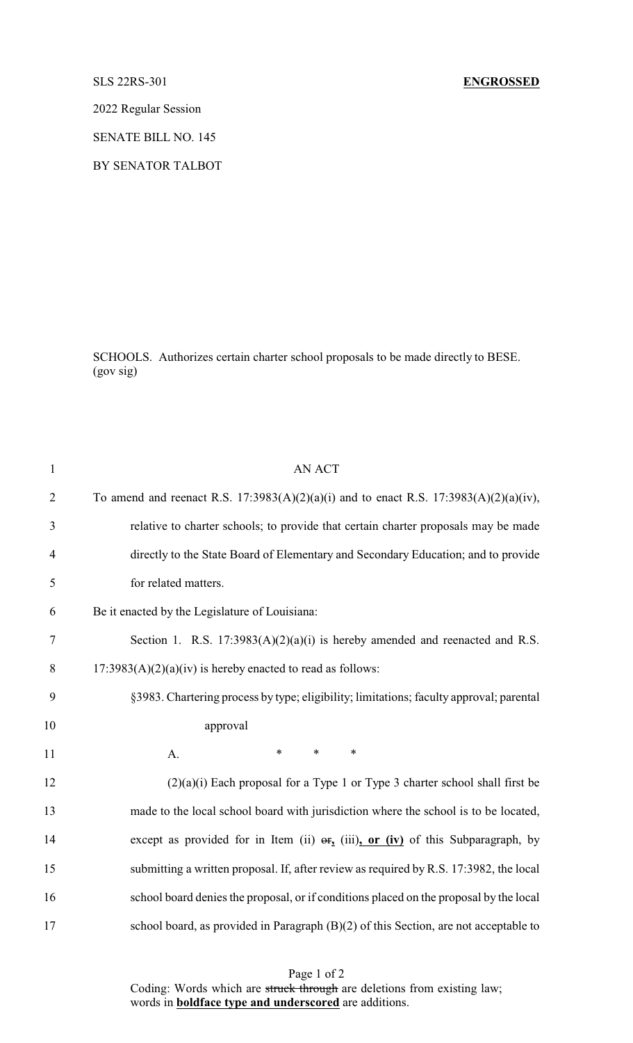## SLS 22RS-301 **ENGROSSED**

2022 Regular Session

SENATE BILL NO. 145

BY SENATOR TALBOT

SCHOOLS. Authorizes certain charter school proposals to be made directly to BESE. (gov sig)

| $\mathbf{1}$   | <b>AN ACT</b>                                                                           |
|----------------|-----------------------------------------------------------------------------------------|
| $\overline{2}$ | To amend and reenact R.S. 17:3983(A)(2)(a)(i) and to enact R.S. 17:3983(A)(2)(a)(iv),   |
| 3              | relative to charter schools; to provide that certain charter proposals may be made      |
| $\overline{4}$ | directly to the State Board of Elementary and Secondary Education; and to provide       |
| 5              | for related matters.                                                                    |
| 6              | Be it enacted by the Legislature of Louisiana:                                          |
| $\tau$         | Section 1. R.S. $17:3983(A)(2)(a)(i)$ is hereby amended and reenacted and R.S.          |
| 8              | $17:3983(A)(2)(a)(iv)$ is hereby enacted to read as follows:                            |
| 9              | §3983. Chartering process by type; eligibility; limitations; faculty approval; parental |
| 10             | approval                                                                                |
| 11             | $\ast$<br>$\ast$<br>$\ast$<br>A.                                                        |
| 12             | $(2)(a)(i)$ Each proposal for a Type 1 or Type 3 charter school shall first be          |
| 13             | made to the local school board with jurisdiction where the school is to be located,     |
| 14             | except as provided for in Item (ii) $\Theta$ r, (iii), or (iv) of this Subparagraph, by |
| 15             | submitting a written proposal. If, after review as required by R.S. 17:3982, the local  |
| 16             | school board denies the proposal, or if conditions placed on the proposal by the local  |
| 17             | school board, as provided in Paragraph (B)(2) of this Section, are not acceptable to    |

Page 1 of 2 Coding: Words which are struck through are deletions from existing law; words in **boldface type and underscored** are additions.